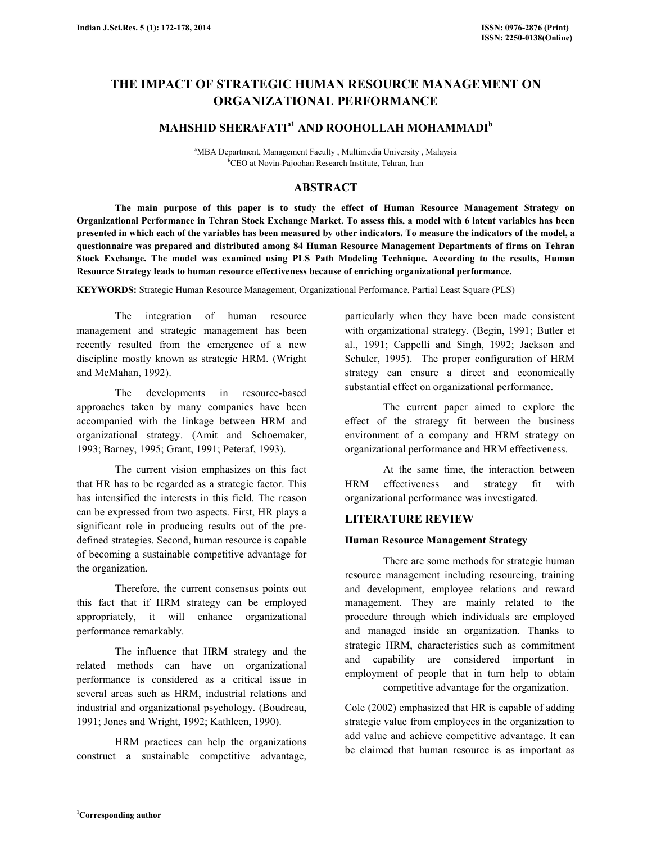# THE IMPACT OF STRATEGIC HUMAN RESOURCE MANAGEMENT ON ORGANIZATIONAL PERFORMANCE

## MAHSHID SHERAFATI $a_1$  and roohollah mohammadi<sup>b</sup>

<sup>a</sup>MBA Department, Management Faculty, Multimedia University, Malaysia <sup>b</sup>CEO at Novin-Pajoohan Research Institute, Tehran, Iran

## ABSTRACT

 The main purpose of this paper is to study the effect of Human Resource Management Strategy on Organizational Performance in Tehran Stock Exchange Market. To assess this, a model with 6 latent variables has been presented in which each of the variables has been measured by other indicators. To measure the indicators of the model, a questionnaire was prepared and distributed among 84 Human Resource Management Departments of firms on Tehran Stock Exchange. The model was examined using PLS Path Modeling Technique. According to the results, Human Resource Strategy leads to human resource effectiveness because of enriching organizational performance.

KEYWORDS: Strategic Human Resource Management, Organizational Performance, Partial Least Square (PLS)

 The integration of human resource management and strategic management has been recently resulted from the emergence of a new discipline mostly known as strategic HRM. (Wright and McMahan, 1992).

 The developments in resource-based approaches taken by many companies have been accompanied with the linkage between HRM and organizational strategy. (Amit and Schoemaker, 1993; Barney, 1995; Grant, 1991; Peteraf, 1993).

 The current vision emphasizes on this fact that HR has to be regarded as a strategic factor. This has intensified the interests in this field. The reason can be expressed from two aspects. First, HR plays a significant role in producing results out of the predefined strategies. Second, human resource is capable of becoming a sustainable competitive advantage for the organization.

 Therefore, the current consensus points out this fact that if HRM strategy can be employed appropriately, it will enhance organizational performance remarkably.

 The influence that HRM strategy and the related methods can have on organizational performance is considered as a critical issue in several areas such as HRM, industrial relations and industrial and organizational psychology. (Boudreau, 1991; Jones and Wright, 1992; Kathleen, 1990).

 HRM practices can help the organizations construct a sustainable competitive advantage, particularly when they have been made consistent with organizational strategy. (Begin, 1991; Butler et al., 1991; Cappelli and Singh, 1992; Jackson and Schuler, 1995). The proper configuration of HRM strategy can ensure a direct and economically substantial effect on organizational performance.

 The current paper aimed to explore the effect of the strategy fit between the business environment of a company and HRM strategy on organizational performance and HRM effectiveness.

 At the same time, the interaction between HRM effectiveness and strategy fit with organizational performance was investigated.

### LITERATURE REVIEW

#### Human Resource Management Strategy

 There are some methods for strategic human resource management including resourcing, training and development, employee relations and reward management. They are mainly related to the procedure through which individuals are employed and managed inside an organization. Thanks to strategic HRM, characteristics such as commitment and capability are considered important in employment of people that in turn help to obtain competitive advantage for the organization.

Cole (2002) emphasized that HR is capable of adding strategic value from employees in the organization to add value and achieve competitive advantage. It can be claimed that human resource is as important as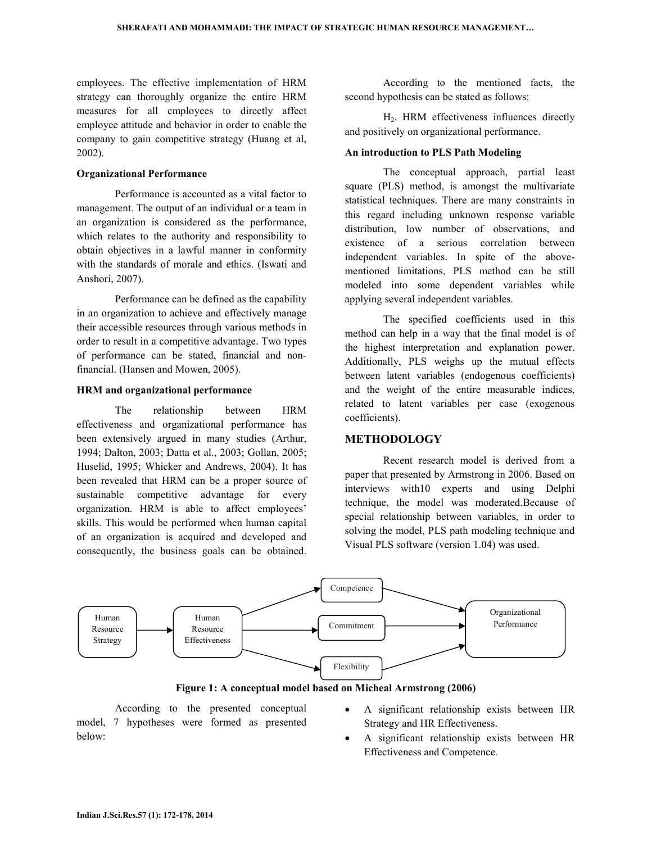employees. The effective implementation of HRM strategy can thoroughly organize the entire HRM measures for all employees to directly affect employee attitude and behavior in order to enable the company to gain competitive strategy (Huang et al, 2002).

#### Organizational Performance

 Performance is accounted as a vital factor to management. The output of an individual or a team in an organization is considered as the performance, which relates to the authority and responsibility to obtain objectives in a lawful manner in conformity with the standards of morale and ethics. (Iswati and Anshori, 2007).

 Performance can be defined as the capability in an organization to achieve and effectively manage their accessible resources through various methods in order to result in a competitive advantage. Two types of performance can be stated, financial and nonfinancial. (Hansen and Mowen, 2005).

#### HRM and organizational performance

 The relationship between HRM effectiveness and organizational performance has been extensively argued in many studies (Arthur, 1994; Dalton, 2003; Datta et al., 2003; Gollan, 2005; Huselid, 1995; Whicker and Andrews, 2004). It has been revealed that HRM can be a proper source of sustainable competitive advantage for every organization. HRM is able to affect employees' skills. This would be performed when human capital of an organization is acquired and developed and consequently, the business goals can be obtained.

 According to the mentioned facts, the second hypothesis can be stated as follows:

 H2. HRM effectiveness influences directly and positively on organizational performance.

### An introduction to PLS Path Modeling

 The conceptual approach, partial least square (PLS) method, is amongst the multivariate statistical techniques. There are many constraints in this regard including unknown response variable distribution, low number of observations, and existence of a serious correlation between independent variables. In spite of the abovementioned limitations, PLS method can be still modeled into some dependent variables while applying several independent variables.

 The specified coefficients used in this method can help in a way that the final model is of the highest interpretation and explanation power. Additionally, PLS weighs up the mutual effects between latent variables (endogenous coefficients) and the weight of the entire measurable indices, related to latent variables per case (exogenous coefficients).

## METHODOLOGY

 Recent research model is derived from a paper that presented by Armstrong in 2006. Based on interviews with10 experts and using Delphi technique, the model was moderated.Because of special relationship between variables, in order to solving the model, PLS path modeling technique and Visual PLS software (version 1.04) was used.



Figure 1: A conceptual model based on Micheal Armstrong (2006)

 According to the presented conceptual model, 7 hypotheses were formed as presented below:

- A significant relationship exists between HR Strategy and HR Effectiveness.
- A significant relationship exists between HR Effectiveness and Competence.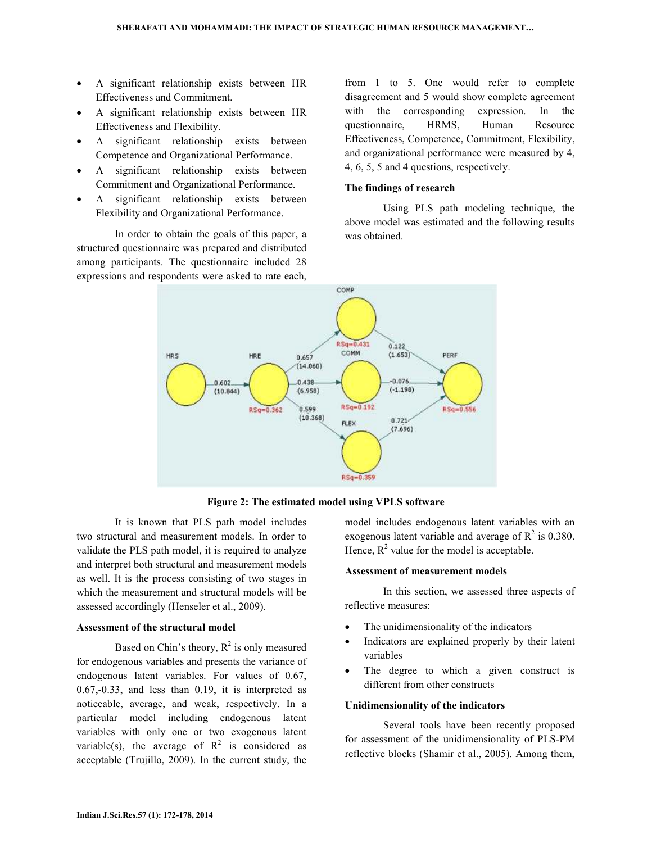- A significant relationship exists between HR Effectiveness and Commitment.
- A significant relationship exists between HR Effectiveness and Flexibility.
- A significant relationship exists between Competence and Organizational Performance.
- A significant relationship exists between Commitment and Organizational Performance.
- A significant relationship exists between Flexibility and Organizational Performance.

 In order to obtain the goals of this paper, a structured questionnaire was prepared and distributed among participants. The questionnaire included 28 expressions and respondents were asked to rate each, from 1 to 5. One would refer to complete disagreement and 5 would show complete agreement with the corresponding expression. In the questionnaire, HRMS, Human Resource Effectiveness, Competence, Commitment, Flexibility, and organizational performance were measured by 4, 4, 6, 5, 5 and 4 questions, respectively.

### The findings of research

 Using PLS path modeling technique, the above model was estimated and the following results was obtained.



Figure 2: The estimated model using VPLS software

 It is known that PLS path model includes two structural and measurement models. In order to validate the PLS path model, it is required to analyze and interpret both structural and measurement models as well. It is the process consisting of two stages in which the measurement and structural models will be assessed accordingly (Henseler et al., 2009).

### Assessment of the structural model

Based on Chin's theory,  $R^2$  is only measured for endogenous variables and presents the variance of endogenous latent variables. For values of 0.67, 0.67,-0.33, and less than 0.19, it is interpreted as noticeable, average, and weak, respectively. In a particular model including endogenous latent variables with only one or two exogenous latent variable(s), the average of  $R^2$  is considered as acceptable (Trujillo, 2009). In the current study, the

model includes endogenous latent variables with an exogenous latent variable and average of  $R^2$  is 0.380. Hence,  $R^2$  value for the model is acceptable.

#### Assessment of measurement models

 In this section, we assessed three aspects of reflective measures:

- The unidimensionality of the indicators
- Indicators are explained properly by their latent variables
- The degree to which a given construct is different from other constructs

#### Unidimensionality of the indicators

 Several tools have been recently proposed for assessment of the unidimensionality of PLS-PM reflective blocks (Shamir et al., 2005). Among them,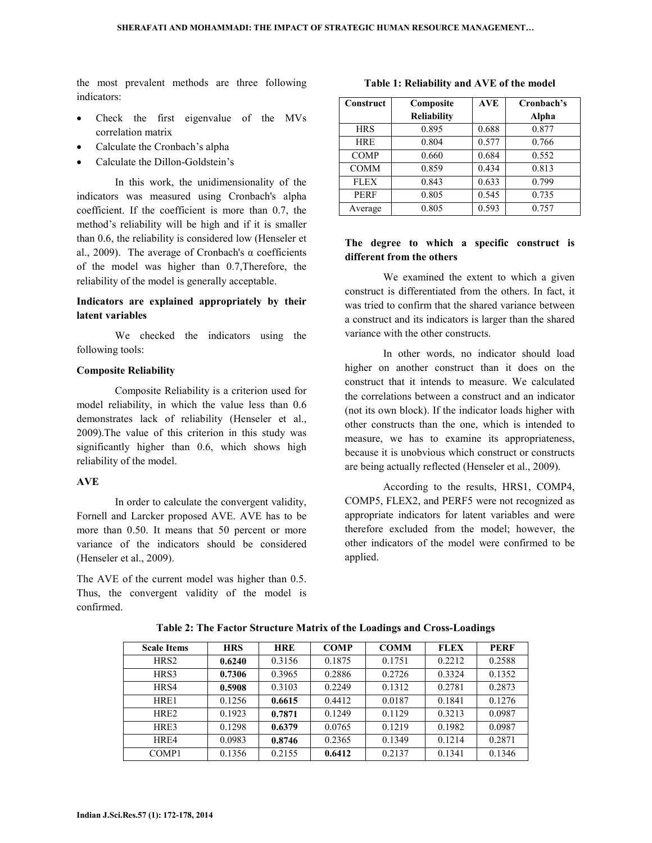the most prevalent methods are three following indicators:

- Check the first eigenvalue of the MVs correlation matrix
- Calculate the Cronbach's alpha
- Calculate the Dillon-Goldstein's

 In this work, the unidimensionality of the indicators was measured using Cronbach's alpha coefficient. If the coefficient is more than 0.7, the method's reliability will be high and if it is smaller than 0.6, the reliability is considered low (Henseler et al., 2009). The average of Cronbach's  $\alpha$  coefficients of the model was higher than 0.7,Therefore, the reliability of the model is generally acceptable.

## Indicators are explained appropriately by their latent variables

 We checked the indicators using the following tools:

### Composite Reliability

 Composite Reliability is a criterion used for model reliability, in which the value less than 0.6 demonstrates lack of reliability (Henseler et al., 2009).The value of this criterion in this study was significantly higher than 0.6, which shows high reliability of the model.

### AVE

 In order to calculate the convergent validity, Fornell and Larcker proposed AVE. AVE has to be more than 0.50. It means that 50 percent or more variance of the indicators should be considered (Henseler et al., 2009).

The AVE of the current model was higher than 0.5. Thus, the convergent validity of the model is confirmed.

| Construct   | Composite          | <b>AVE</b> | Cronbach's |
|-------------|--------------------|------------|------------|
|             | <b>Reliability</b> |            | Alpha      |
| <b>HRS</b>  | 0.895              | 0.688      | 0.877      |
| <b>HRE</b>  | 0.804              | 0.577      | 0.766      |
| <b>COMP</b> | 0.660              | 0.684      | 0.552      |
| <b>COMM</b> | 0.859              | 0.434      | 0.813      |
| <b>FLEX</b> | 0.843              | 0.633      | 0.799      |
| <b>PERF</b> | 0.805              | 0.545      | 0.735      |
| Average     | 0.805              | 0.593      | 0.757      |

## Table 1: Reliability and AVE of the model

## The degree to which a specific construct is different from the others

 We examined the extent to which a given construct is differentiated from the others. In fact, it was tried to confirm that the shared variance between a construct and its indicators is larger than the shared variance with the other constructs.

 In other words, no indicator should load higher on another construct than it does on the construct that it intends to measure. We calculated the correlations between a construct and an indicator (not its own block). If the indicator loads higher with other constructs than the one, which is intended to measure, we has to examine its appropriateness, because it is unobvious which construct or constructs are being actually reflected (Henseler et al., 2009).

 According to the results, HRS1, COMP4, COMP5, FLEX2, and PERF5 were not recognized as appropriate indicators for latent variables and were therefore excluded from the model; however, the other indicators of the model were confirmed to be applied.

| <b>Scale Items</b> | <b>HRS</b> | <b>HRE</b> | <b>COMP</b> | <b>COMM</b> | <b>FLEX</b> | <b>PERF</b> |
|--------------------|------------|------------|-------------|-------------|-------------|-------------|
| HRS <sub>2</sub>   | 0.6240     | 0.3156     | 0.1875      | 0.1751      | 0.2212      | 0.2588      |
| HRS3               | 0.7306     | 0.3965     | 0.2886      | 0.2726      | 0.3324      | 0.1352      |
| HR <sub>S4</sub>   | 0.5908     | 0.3103     | 0.2249      | 0.1312      | 0.2781      | 0.2873      |
| HRE1               | 0.1256     | 0.6615     | 0.4412      | 0.0187      | 0.1841      | 0.1276      |
| HR <sub>E2</sub>   | 0.1923     | 0.7871     | 0.1249      | 0.1129      | 0.3213      | 0.0987      |
| HRE3               | 0.1298     | 0.6379     | 0.0765      | 0.1219      | 0.1982      | 0.0987      |
| HR <sub>F4</sub>   | 0.0983     | 0.8746     | 0.2365      | 0.1349      | 0.1214      | 0.2871      |
| COMP <sub>1</sub>  | 0.1356     | 0.2155     | 0.6412      | 0.2137      | 0.1341      | 0.1346      |

Table 2: The Factor Structure Matrix of the Loadings and Cross-Loadings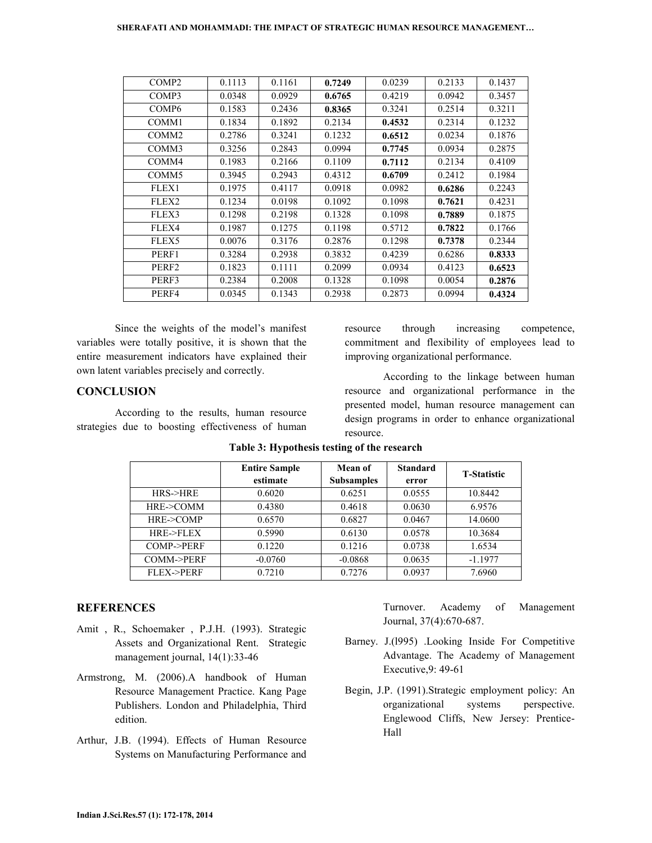| COMP <sub>2</sub> | 0.1113 | 0.1161 | 0.7249 | 0.0239 | 0.2133 | 0.1437 |
|-------------------|--------|--------|--------|--------|--------|--------|
| COMP3             | 0.0348 | 0.0929 | 0.6765 | 0.4219 | 0.0942 | 0.3457 |
| COMP <sub>6</sub> | 0.1583 | 0.2436 | 0.8365 | 0.3241 | 0.2514 | 0.3211 |
| COMM1             | 0.1834 | 0.1892 | 0.2134 | 0.4532 | 0.2314 | 0.1232 |
| COMM <sub>2</sub> | 0.2786 | 0.3241 | 0.1232 | 0.6512 | 0.0234 | 0.1876 |
| COMM3             | 0.3256 | 0.2843 | 0.0994 | 0.7745 | 0.0934 | 0.2875 |
| COMM4             | 0.1983 | 0.2166 | 0.1109 | 0.7112 | 0.2134 | 0.4109 |
| COMM <sub>5</sub> | 0.3945 | 0.2943 | 0.4312 | 0.6709 | 0.2412 | 0.1984 |
| FLEX1             | 0.1975 | 0.4117 | 0.0918 | 0.0982 | 0.6286 | 0.2243 |
| FLEX2             | 0.1234 | 0.0198 | 0.1092 | 0.1098 | 0.7621 | 0.4231 |
| FLEX3             | 0.1298 | 0.2198 | 0.1328 | 0.1098 | 0.7889 | 0.1875 |
| FLEX4             | 0.1987 | 0.1275 | 0.1198 | 0.5712 | 0.7822 | 0.1766 |
| FLEX5             | 0.0076 | 0.3176 | 0.2876 | 0.1298 | 0.7378 | 0.2344 |
| PERF1             | 0.3284 | 0.2938 | 0.3832 | 0.4239 | 0.6286 | 0.8333 |
| PERF <sub>2</sub> | 0.1823 | 0.1111 | 0.2099 | 0.0934 | 0.4123 | 0.6523 |
| PERF3             | 0.2384 | 0.2008 | 0.1328 | 0.1098 | 0.0054 | 0.2876 |
| PERF4             | 0.0345 | 0.1343 | 0.2938 | 0.2873 | 0.0994 | 0.4324 |

 Since the weights of the model's manifest variables were totally positive, it is shown that the entire measurement indicators have explained their own latent variables precisely and correctly.

### **CONCLUSION**

 According to the results, human resource strategies due to boosting effectiveness of human

resource through increasing competence, commitment and flexibility of employees lead to improving organizational performance.

 According to the linkage between human resource and organizational performance in the presented model, human resource management can design programs in order to enhance organizational resource.

|                         | <b>Entire Sample</b> | <b>Mean of</b>    | <b>Standard</b> | <b>T-Statistic</b> |  |
|-------------------------|----------------------|-------------------|-----------------|--------------------|--|
|                         | estimate             | <b>Subsamples</b> | error           |                    |  |
| HRS > HRE               | 0.6020               | 0.6251            | 0.0555          | 10.8442            |  |
| HRE->COMM               | 0.4380               | 0.4618            | 0.0630          | 6.9576             |  |
| HRE->COMP               | 0.6570               | 0.6827            | 0.0467          | 14.0600            |  |
| HRE->FLEX               | 0.5990               | 0.6130            | 0.0578          | 10.3684            |  |
| $COMP \rightarrow PERF$ | 0.1220               | 0.1216            | 0.0738          | 1.6534             |  |
| COMM->PERF              | $-0.0760$            | $-0.0868$         | 0.0635          | $-1.1977$          |  |
| <b>FLEX-&gt;PERF</b>    | 0.7210               | 0.7276            | 0.0937          | 7.6960             |  |

### Table 3: Hypothesis testing of the research

#### **REFERENCES**

- Amit , R., Schoemaker , P.J.H. (1993). Strategic Assets and Organizational Rent. Strategic management journal, 14(1):33-46
- Armstrong, M. (2006).A handbook of Human Resource Management Practice. Kang Page Publishers. London and Philadelphia, Third edition.
- Arthur, J.B. (1994). Effects of Human Resource Systems on Manufacturing Performance and

Turnover. Academy of Management Journal, 37(4):670-687.

- Barney. J.(l995) .Looking Inside For Competitive Advantage. The Academy of Management Executive,9: 49-61
- Begin, J.P. (1991).Strategic employment policy: An organizational systems perspective. Englewood Cliffs, New Jersey: Prentice-Hall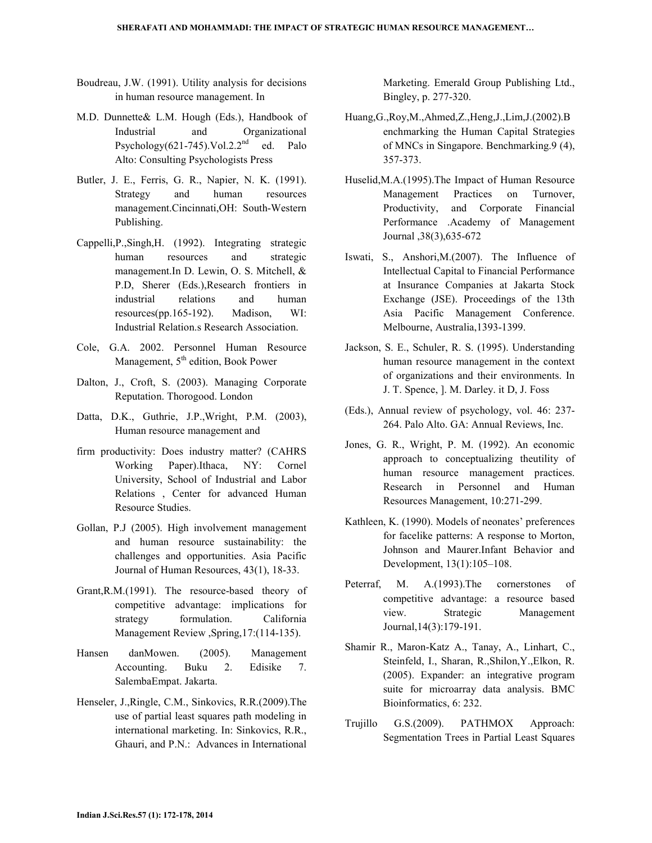- Boudreau, J.W. (1991). Utility analysis for decisions in human resource management. In
- M.D. Dunnette& L.M. Hough (Eds.), Handbook of Industrial and Organizational Psychology $(621-745)$ . Vol.  $2.2<sup>nd</sup>$  ed. Palo Alto: Consulting Psychologists Press
- Butler, J. E., Ferris, G. R., Napier, N. K. (1991). Strategy and human resources management.Cincinnati,OH: South-Western Publishing.
- Cappelli,P.,Singh,H. (1992). Integrating strategic human resources and strategic management.In D. Lewin, O. S. Mitchell, & P.D, Sherer (Eds.),Research frontiers in industrial relations and human resources(pp.165-192). Madison, WI: Industrial Relation.s Research Association.
- Cole, G.A. 2002. Personnel Human Resource Management,  $5<sup>th</sup>$  edition, Book Power
- Dalton, J., Croft, S. (2003). Managing Corporate Reputation. Thorogood. London
- Datta, D.K., Guthrie, J.P.,Wright, P.M. (2003), Human resource management and
- firm productivity: Does industry matter? (CAHRS Working Paper).Ithaca, NY: Cornel University, School of Industrial and Labor Relations , Center for advanced Human Resource Studies.
- Gollan, P.J (2005). High involvement management and human resource sustainability: the challenges and opportunities. Asia Pacific Journal of Human Resources, 43(1), 18-33.
- Grant,R.M.(1991). The resource-based theory of competitive advantage: implications for strategy formulation. California Management Review ,Spring,17:(114-135).
- Hansen danMowen. (2005). Management Accounting. Buku 2. Edisike 7. SalembaEmpat. Jakarta.
- Henseler, J.,Ringle, C.M., Sinkovics, R.R.(2009).The use of partial least squares path modeling in international marketing. In: Sinkovics, R.R., Ghauri, and P.N.: Advances in International

Marketing. Emerald Group Publishing Ltd., Bingley, p. 277-320.

- Huang,G.,Roy,M.,Ahmed,Z.,Heng,J.,Lim,J.(2002).B enchmarking the Human Capital Strategies of MNCs in Singapore. Benchmarking.9 (4), 357-373.
- Huselid,M.A.(1995).The Impact of Human Resource Management Practices on Turnover, Productivity, and Corporate Financial Performance .Academy of Management Journal ,38(3),635-672
- Iswati, S., Anshori,M.(2007). The Influence of Intellectual Capital to Financial Performance at Insurance Companies at Jakarta Stock Exchange (JSE). Proceedings of the 13th Asia Pacific Management Conference. Melbourne, Australia,1393-1399.
- Jackson, S. E., Schuler, R. S. (1995). Understanding human resource management in the context of organizations and their environments. In J. T. Spence, ]. M. Darley. it D, J. Foss
- (Eds.), Annual review of psychology, vol. 46: 237- 264. Palo Alto. GA: Annual Reviews, Inc.
- Jones, G. R., Wright, P. M. (1992). An economic approach to conceptualizing theutility of human resource management practices. Research in Personnel and Human Resources Management, 10:271-299.
- Kathleen, K. (1990). Models of neonates' preferences for facelike patterns: A response to Morton, Johnson and Maurer.Infant Behavior and Development, 13(1):105–108.
- Peterraf, M. A.(1993).The cornerstones of competitive advantage: a resource based view. Strategic Management Journal,14(3):179-191.
- Shamir R., Maron-Katz A., Tanay, A., Linhart, C., Steinfeld, I., Sharan, R.,Shilon,Y.,Elkon, R. (2005). Expander: an integrative program suite for microarray data analysis. BMC Bioinformatics, 6: 232.
- Trujillo G.S.(2009). PATHMOX Approach: Segmentation Trees in Partial Least Squares